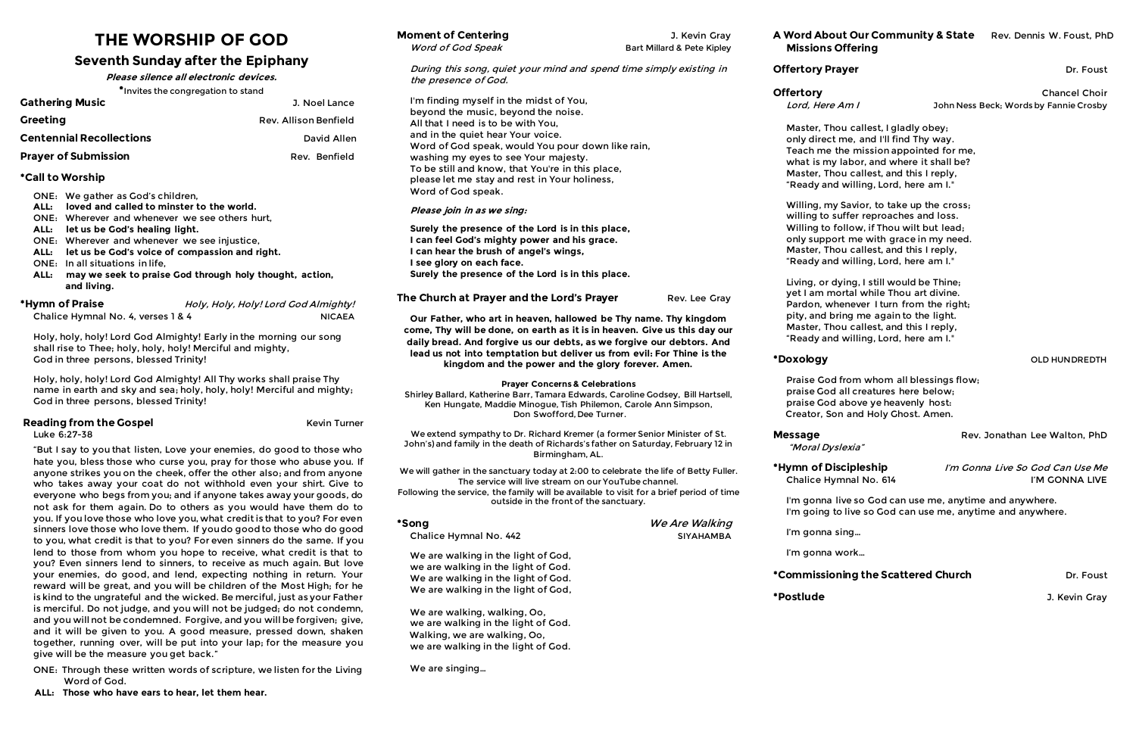# **THE WORSHIP OF GOD**

## **Seventh Sunday after the Epiphany**

**Please silence all electronic devices.**

\*Invites the congregation to stand

| <b>Gathering Music</b>          | J. Noel Lance         |
|---------------------------------|-----------------------|
| <b>Greeting</b>                 | Rev. Allison Benfield |
| <b>Centennial Recollections</b> | David Allen           |
| <b>Prayer of Submission</b>     | Rev. Benfield         |

### **\*Call to Worship**

- ONE: We gather as God's children,
- **ALL: loved and called to minster to the world.**
- ONE: Wherever and whenever we see others hurt,
- **ALL: let us be God's healing light.**
- ONE: Wherever and whenever we see injustice,
- **ALL: let us be God's voice of compassion and right.**
- ONE: In all situations in life,
- **ALL: may we seek to praise God through holy thought, action, and living.**

| *Hymn of Praise                    | Holy, Holy, Holy! Lord God Almighty! |
|------------------------------------|--------------------------------------|
| Chalice Hymnal No. 4, verses 1 & 4 | NICAEA                               |

Holy, holy, holy! Lord God Almighty! Early in the morning our song shall rise to Thee; holy, holy, holy! Merciful and mighty, God in three persons, blessed Trinity!

Holy, holy, holy! Lord God Almighty! All Thy works shall praise Thy name in earth and sky and sea; holy, holy, holy! Merciful and mighty; God in three persons, blessed Trinity!

## **Reading from the Gospel** Kevin Turner

Luke 6:27-38

"But I say to you that listen, Love your enemies, do good to those who hate you, bless those who curse you, pray for those who abuse you. If anyone strikes you on the cheek, offer the other also; and from anyone who takes away your coat do not withhold even your shirt. Give to everyone who begs from you; and if anyone takes away your goods, do not ask for them again. Do to others as you would have them do to you. If you love those who love you, what credit is that to you? For even sinners love those who love them. If you do good to those who do good to you, what credit is that to you? For even sinners do the same. If you lend to those from whom you hope to receive, what credit is that to you? Even sinners lend to sinners, to receive as much again. But love your enemies, do good, and lend, expecting nothing in return. Your reward will be great, and you will be children of the Most High; for he is kind to the ungrateful and the wicked. Be merciful, just as your Father is merciful. Do not judge, and you will not be judged; do not condemn, and you will not be condemned. Forgive, and you will be forgiven; give, and it will be given to you. A good measure, pressed down, shaken together, running over, will be put into your lap; for the measure you give will be the measure you get back."

ONE: Through these written words of scripture, we listen for the Living Word of God.

**Moment of Centering Moment of Centering COMPONEY COMPONENT COMPONENT COMPONENT COMPONENT COMPONENT COMPONENT COMPONENT COMPONENT COMPONENT COMPONENT COMPONENT COMPONENT COMPONENT COMPONENT COMPONENT COMPONENT COMPON** 

 **ALL: Those who have ears to hear, let them hear.** 

During this song, quiet your mind and spend time simply existing in

the presence of God.

I'm finding myself in the midst of You, beyond the music, beyond the noise. All that I need is to be with You, and in the quiet hear Your voice.

Word of God speak, would You pour down like rain,

Word of God Speak Bart Millard & Pete Kipley

## **Offertory Prayer and Structure 2018** Dr. Foust

**\*Hymn of Discipleship** I'm Gonna Live So God Can Use Me Chalice Hymnal No. 614 I'M GONNA LIVE

washing my eyes to see Your majesty.

To be still and know, that You're in this place, please let me stay and rest in Your holiness,

Word of God speak.

**Please join in as we sing:**

**Surely the presence of the Lord is in this place, I can feel God's mighty power and his grace.**

**I can hear the brush of angel's wings,**

**I see glory on each face.**

**Surely the presence of the Lord is in this place.**

**Our Father, who art in heaven, hallowed be Thy name. Thy kingdom come, Thy will be done, on earth as it is in heaven. Give us this day our daily bread. And forgive us our debts, as we forgive our debtors. And lead us not into temptation but deliver us from evil: For Thine is the kingdom and the power and the glory forever. Amen.**

**The Church at Prayer and the Lord's Prayer** Rev. Lee Gray

### **Prayer Concerns & Celebrations**

Shirley Ballard, Katherine Barr, Tamara Edwards, Caroline Godsey, Bill Hartsell, Ken Hungate, Maddie Minogue, Tish Philemon, Carole Ann Simpson, Don Swofford, Dee Turner.

We extend sympathy to Dr. Richard Kremer (a former Senior Minister of St. John's) and family in the death of Richards's father on Saturday, February 12 in Birmingham, AL.

We will gather in the sanctuary today at 2:00 to celebrate the life of Betty Fuller. The service will live stream on our YouTube channel. Following the service, the family will be available to visit for a brief period of time outside in the front of the sanctuary.

**\*Song** We Are Walking Chalice Hymnal No. 442 **Bisk and SIYAHAMBA** We are walking in the light of God, we are walking in the light of God. We are walking in the light of God. We are walking in the light of God,

We are walking, walking, Oo, we are walking in the light of God. Walking, we are walking, Oo, we are walking in the light of God.

We are singing…

**A Word About Our Community & State** Rev. Dennis W. Foust, PhD **Missions Offering** 

**Offertory Chancel Choir** Lord, Here Am I Sohn Ness Beck; Words by Fannie Crosby

\*Doxology **blue and the contract of the contract of the contract of the contract of the contract of the contract of the contract of the contract of the contract of the contract of the contract of the contract of the contra** 

**Message Rev. Jonathan Lee Walton, PhD** 

Master, Thou callest, I gladly obey; only direct me, and I'll find Thy way. Teach me the mission appointed for me, what is my labor, and where it shall be? Master, Thou callest, and this I reply, "Ready and willing, Lord, here am I."

Willing, my Savior, to take up the cross; willing to suffer reproaches and loss. Willing to follow, if Thou wilt but lead; only support me with grace in my need. Master, Thou callest, and this I reply, "Ready and willing, Lord, here am I."

Living, or dying, I still would be Thine; yet I am mortal while Thou art divine. Pardon, whenever I turn from the right; pity, and bring me again to the light. Master, Thou callest, and this I reply, "Ready and willing, Lord, here am I."

Praise God from whom all blessings flow; praise God all creatures here below; praise God above ye heavenly host: Creator, Son and Holy Ghost. Amen.

"Moral Dyslexia"

I'm gonna live so God can use me, anytime and anywhere. I'm going to live so God can use me, anytime and anywhere.

## **\*Commissioning the Scattered Church Transform of the Scatter Dr. Foust**

I'm gonna sing…

I'm gonna work…

**\*Postlude** J. Kevin Gray